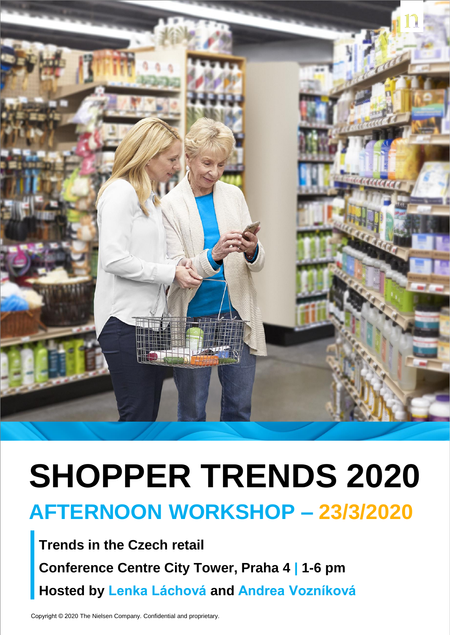

## **SHOPPER TRENDS 2020 AFTERNOON WORKSHOP – 23/3/2020**

**Trends in the Czech retail Conference Centre City Tower, Praha 4 | 1-6 pm Hosted by Lenka Láchová and Andrea Vozníková**